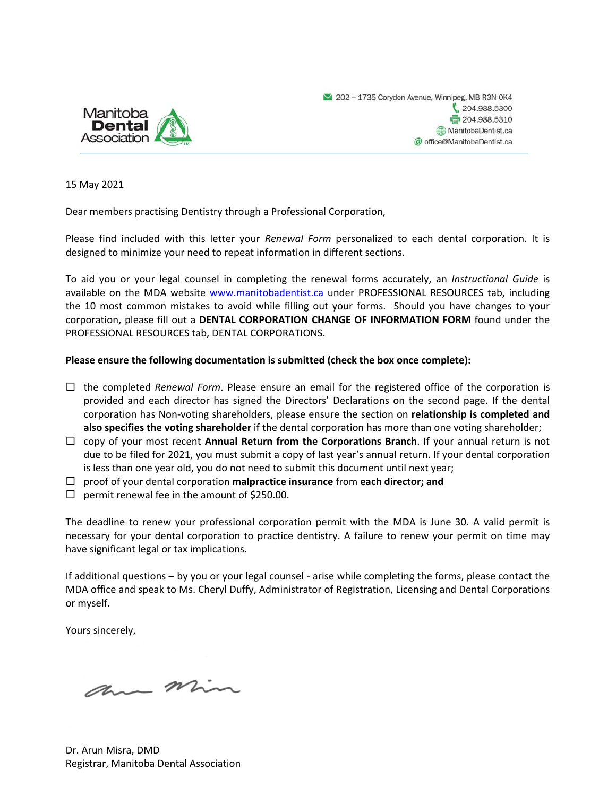

15 May 2021

Dear members practising Dentistry through a Professional Corporation,

Please find included with this letter your *Renewal Form* personalized to each dental corporation. It is designed to minimize your need to repeat information in different sections.

To aid you or your legal counsel in completing the renewal forms accurately, an *Instructional Guide* is available on the MDA website www.manitobadentist.ca under PROFESSIONAL RESOURCES tab, including the 10 most common mistakes to avoid while filling out your forms. Should you have changes to your corporation, please fill out a **DENTAL CORPORATION CHANGE OF INFORMATION FORM** found under the PROFESSIONAL RESOURCES tab, DENTAL CORPORATIONS.

#### **Please ensure the following documentation is submitted (check the box once complete):**

- $\Box$  the completed *Renewal Form*. Please ensure an email for the registered office of the corporation is provided and each director has signed the Directors' Declarations on the second page. If the dental corporation has Non‐voting shareholders, please ensure the section on **relationship is completed and also specifies the voting shareholder** if the dental corporation has more than one voting shareholder;
- copy of your most recent **Annual Return from the Corporations Branch**. If your annual return is not due to be filed for 2021, you must submit a copy of last year's annual return. If your dental corporation is less than one year old, you do not need to submit this document until next year;
- proof of your dental corporation **malpractice insurance** from **each director; and**
- $\Box$  permit renewal fee in the amount of \$250.00.

The deadline to renew your professional corporation permit with the MDA is June 30. A valid permit is necessary for your dental corporation to practice dentistry. A failure to renew your permit on time may have significant legal or tax implications.

If additional questions – by you or your legal counsel ‐ arise while completing the forms, please contact the MDA office and speak to Ms. Cheryl Duffy, Administrator of Registration, Licensing and Dental Corporations or myself.

Yours sincerely,

am min

Dr. Arun Misra, DMD Registrar, Manitoba Dental Association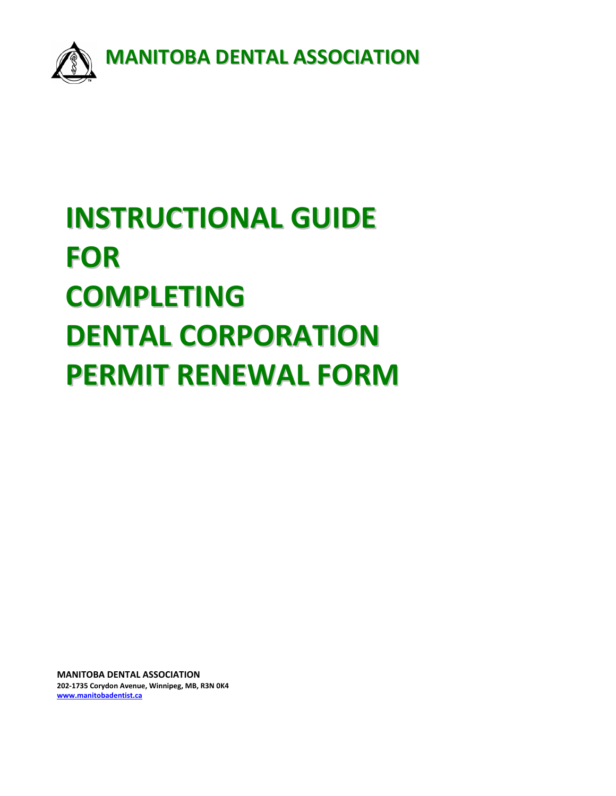

# **INSTRUCTIONAL GUIDE FOR COMPLETING DENTAL CORPORATION PERMIT RENEWAL FORM**

**MANITOBA DENTAL ASSOCIATION 202‐1735 Corydon Avenue, Winnipeg, MB, R3N 0K4 www.manitobadentist.ca**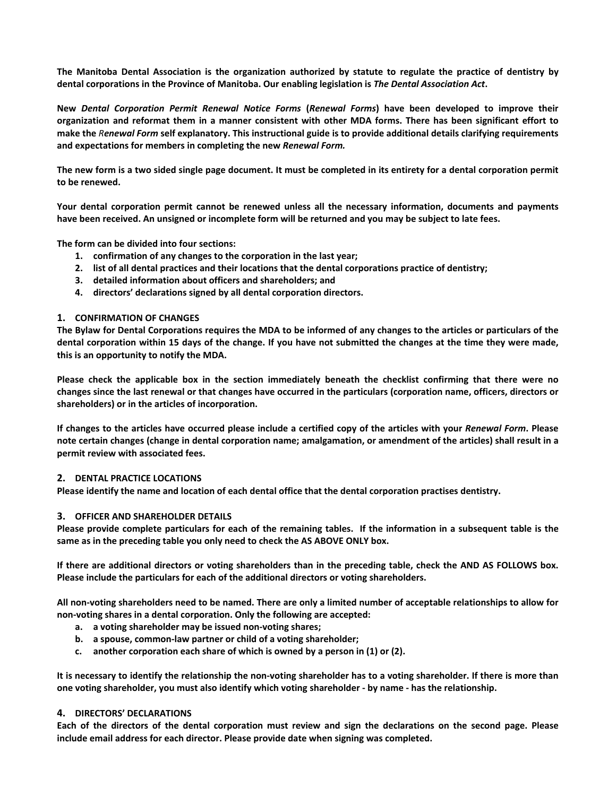The Manitoba Dental Association is the organization authorized by statute to regulate the practice of dentistry by **dental corporations in the Province of Manitoba. Our enabling legislation is** *The Dental Association Act***.** 

**New**  *Dental Corporation Permit Renewal Notice Forms*  **(***Renewal Forms***) have been developed to improve their organization and reformat them in a manner consistent with other MDA forms. There has been significant effort to make the** *Renewal Form* **self explanatory. This instructional guide is to provide additional details clarifying requirements and expectations for members in completing the new** *Renewal Form.*

**The new form is a two sided single page document. It must be completed in its entirety for a dental corporation permit to be renewed.** 

**Your dental corporation permit cannot be renewed unless all the necessary information, documents and payments have been received. An unsigned or incomplete form will be returned and you may be subject to late fees.** 

**The form can be divided into four sections:** 

- **1. confirmation of any changes to the corporation in the last year;**
- **2. list of all dental practices and their locations that the dental corporations practice of dentistry;**
- **3. detailed information about officers and shareholders; and**
- **4. directors' declarations signed by all dental corporation directors.**

#### **1. CONFIRMATION OF CHANGES**

**The Bylaw for Dental Corporations requires the MDA to be informed of any changes to the articles or particulars of the dental corporation within 15 days of the change. If you have not submitted the changes at the time they were made, this is an opportunity to notify the MDA.** 

**Please check the applicable box in the section immediately beneath the checklist confirming that there were no changes since the last renewal or that changes have occurred in the particulars (corporation name, officers, directors or shareholders) or in the articles of incorporation.** 

**If changes to the articles have occurred please include a certified copy of the articles with your** *Renewal Form***. Please note certain changes (change in dental corporation name; amalgamation, or amendment of the articles) shall result in a permit review with associated fees.** 

#### **2. DENTAL PRACTICE LOCATIONS**

**Please identify the name and location of each dental office that the dental corporation practises dentistry.** 

#### **3. OFFICER AND SHAREHOLDER DETAILS**

**Please provide complete particulars for each of the remaining tables. If the information in a subsequent table is the same as in the preceding table you only need to check the AS ABOVE ONLY box.** 

**If there are additional directors or voting shareholders than in the preceding table, check the AND AS FOLLOWS box. Please include the particulars for each of the additional directors or voting shareholders.** 

**All non‐voting shareholders need to be named. There are only a limited number of acceptable relationships to allow for non‐voting shares in a dental corporation. Only the following are accepted:** 

- **a. a voting shareholder may be issued non‐voting shares;**
- **b. a spouse, common‐law partner or child of a voting shareholder;**
- **c. another corporation each share of which is owned by a person in (1) or (2).**

**It is necessary to identify the relationship the non‐voting shareholder has to a voting shareholder. If there is more than one voting shareholder, you must also identify which voting shareholder ‐ by name ‐ has the relationship.** 

#### **4. DIRECTORS' DECLARATIONS**

**Each of the directors of the dental corporation must review and sign the declarations on the second page. Please include email address for each director. Please provide date when signing was completed.**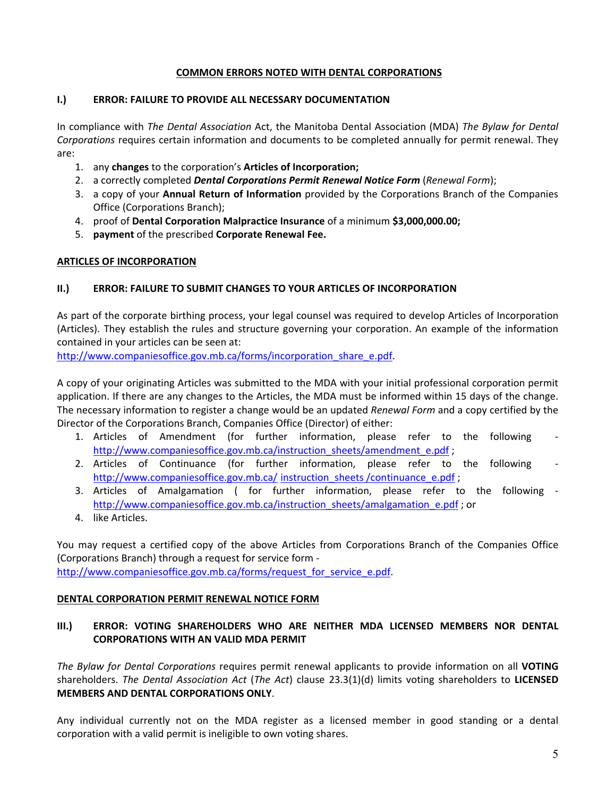# **COMMON ERRORS NOTED WITH DENTAL CORPORATIONS**

### **I.) ERROR: FAILURE TO PROVIDE ALL NECESSARY DOCUMENTATION**

In compliance with *The Dental Association* Act, the Manitoba Dental Association (MDA) *The Bylaw for Dental Corporations* requires certain information and documents to be completed annually for permit renewal. They are:

- 1. any **changes** to the corporation's **Articles of Incorporation;**
- 2. a correctly completed *Dental Corporations Permit Renewal Notice Form* (*Renewal Form*);
- 3. a copy of your **Annual Return of Information** provided by the Corporations Branch of the Companies Office (Corporations Branch);
- 4. proof of **Dental Corporation Malpractice Insurance** of a minimum **\$3,000,000.00;**
- 5. **payment** of the prescribed **Corporate Renewal Fee.**

# **ARTICLES OF INCORPORATION**

# **II.) ERROR: FAILURE TO SUBMIT CHANGES TO YOUR ARTICLES OF INCORPORATION**

As part of the corporate birthing process, your legal counsel was required to develop Articles of Incorporation (Articles). They establish the rules and structure governing your corporation. An example of the information contained in your articles can be seen at:

http://www.companiesoffice.gov.mb.ca/forms/incorporation\_share\_e.pdf.

A copy of your originating Articles was submitted to the MDA with your initial professional corporation permit application. If there are any changes to the Articles, the MDA must be informed within 15 days of the change. The necessary information to register a change would be an updated *Renewal Form* and a copy certified by the Director of the Corporations Branch, Companies Office (Director) of either:

- 1. Articles of Amendment (for further information, please refer to the following http://www.companiesoffice.gov.mb.ca/instruction\_sheets/amendment\_e.pdf;
- 2. Articles of Continuance (for further information, please refer to the following http://www.companiesoffice.gov.mb.ca/ instruction\_sheets /continuance\_e.pdf ;
- 3. Articles of Amalgamation ( for further information, please refer to the following http://www.companiesoffice.gov.mb.ca/instruction\_sheets/amalgamation\_e.pdf ; or
- 4. like Articles.

You may request a certified copy of the above Articles from Corporations Branch of the Companies Office (Corporations Branch) through a request for service form ‐ http://www.companiesoffice.gov.mb.ca/forms/request\_for\_service\_e.pdf.

# **DENTAL CORPORATION PERMIT RENEWAL NOTICE FORM**

# **III.) ERROR: VOTING SHAREHOLDERS WHO ARE NEITHER MDA LICENSED MEMBERS NOR DENTAL CORPORATIONS WITH AN VALID MDA PERMIT**

*The Bylaw for Dental Corporations* requires permit renewal applicants to provide information on all **VOTING** shareholders. *The Dental Association Act* (*The Act*) clause 23.3(1)(d) limits voting shareholders to **LICENSED MEMBERS AND DENTAL CORPORATIONS ONLY**.

Any individual currently not on the MDA register as a licensed member in good standing or a dental corporation with a valid permit is ineligible to own voting shares.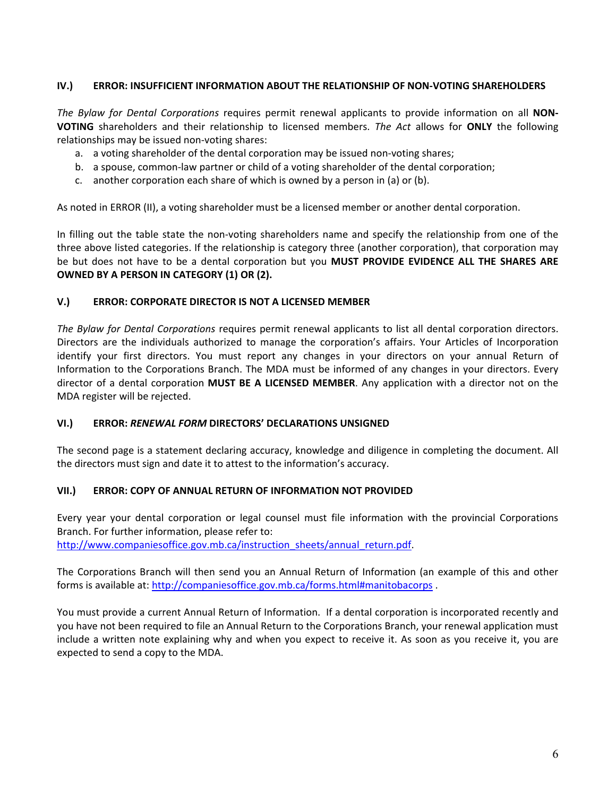# **IV.) ERROR: INSUFFICIENT INFORMATION ABOUT THE RELATIONSHIP OF NON‐VOTING SHAREHOLDERS**

*The Bylaw for Dental Corporations*  requires permit renewal applicants to provide information on all **NON‐ VOTING** shareholders and their relationship to licensed members. *The Act* allows for **ONLY** the following relationships may be issued non‐voting shares:

- a. a voting shareholder of the dental corporation may be issued non‐voting shares;
- b. a spouse, common‐law partner or child of a voting shareholder of the dental corporation;
- c. another corporation each share of which is owned by a person in (a) or (b).

As noted in ERROR (II), a voting shareholder must be a licensed member or another dental corporation.

In filling out the table state the non-voting shareholders name and specify the relationship from one of the three above listed categories. If the relationship is category three (another corporation), that corporation may be but does not have to be a dental corporation but you **MUST PROVIDE EVIDENCE ALL THE SHARES ARE OWNED BY A PERSON IN CATEGORY (1) OR (2).**

# **V.) ERROR: CORPORATE DIRECTOR IS NOT A LICENSED MEMBER**

*The Bylaw for Dental Corporations* requires permit renewal applicants to list all dental corporation directors. Directors are the individuals authorized to manage the corporation's affairs. Your Articles of Incorporation identify your first directors. You must report any changes in your directors on your annual Return of Information to the Corporations Branch. The MDA must be informed of any changes in your directors. Every director of a dental corporation **MUST BE A LICENSED MEMBER**. Any application with a director not on the MDA register will be rejected.

# **VI.) ERROR:** *RENEWAL FORM* **DIRECTORS' DECLARATIONS UNSIGNED**

The second page is a statement declaring accuracy, knowledge and diligence in completing the document. All the directors must sign and date it to attest to the information's accuracy.

# **VII.) ERROR: COPY OF ANNUAL RETURN OF INFORMATION NOT PROVIDED**

Every year your dental corporation or legal counsel must file information with the provincial Corporations Branch. For further information, please refer to: http://www.companiesoffice.gov.mb.ca/instruction\_sheets/annual\_return.pdf.

The Corporations Branch will then send you an Annual Return of Information (an example of this and other forms is available at: http://companiesoffice.gov.mb.ca/forms.html#manitobacorps .

You must provide a current Annual Return of Information. If a dental corporation is incorporated recently and you have not been required to file an Annual Return to the Corporations Branch, your renewal application must include a written note explaining why and when you expect to receive it. As soon as you receive it, you are expected to send a copy to the MDA.